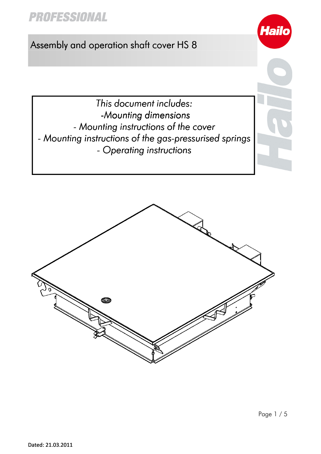# **PROFESSIONAL**

### Assembly and operation shaft cover HS 8

This document includes: -Mounting dimensions -Mounting dimensions - Mounting instructions of the cover - Mounting instructions of the gas-pressurised springs - Operating instructions



**Haild**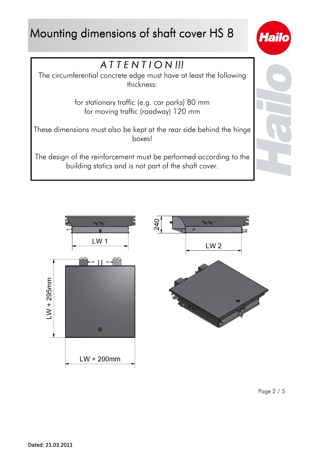# Mounting dimensions of shaft cover HS 8







Page 2 / 5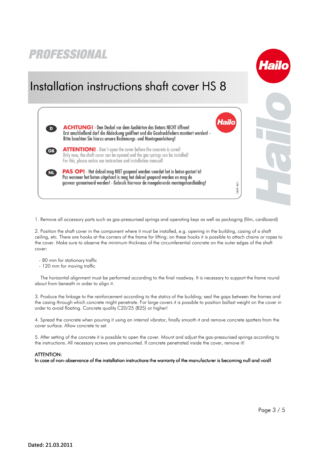### PROFESSIONAL Installation instructions shaft cover HS 8 **Hailo ACHTUNG!** Den Deckel vor dem Aushärten des Betons NICHT öffnen! Erst anschließend darf die Abdeckung geöffnet und die Gasdruckfedern montiert werden! -Bitte beachten Sie hierzu unsere Bedienungs- und Montageanleitung! **ATTENTION!** - Don't open the cover before the concrete is cured! GB) Only now, the shaft cover can be opened and the gas springs can be installed! For this, please notice our instruction and installation manual! **PAS OP!** - Het deksel mag NIET geopend worden voordat het in beton gestort is! NL) Pas wanneer het beton uitgehard is maa het deksel geopend worden en maa de gasveer gemonteerd worden! - Gebruik hiervoor de meegeleverde montagehandleiding!  $02/11$ 183199.

1. Remove all accessory parts such as gas-pressurised springs and operating keys as well as packaging (film, cardboard)

2. Position the shaft cover in the component where it must be installed, e.g. opening in the building, casing of a shaft ceiling, etc. There are hooks at the corners of the frame for lifting; on these hooks it is possible to attach chains or ropes to the cover. Make sure to observe the minimum thickness of the circumferential concrete on the outer edges of the shaft cover:

- 80 mm for stationary traffic
- 120 mm for moving traffic

The horizontal alignment must be performed according to the final roadway. It is necessary to support the frame round about from beneath in order to align it.

3. Produce the linkage to the reinforcement according to the statics of the building; seal the gaps between the frames and the casing through which concrete might penetrate. For large covers it is possible to position ballast weight on the cover in order to avoid floating. Concrete quality C20/25 (B25) or higher!

4. Spread the concrete when pouring it using an internal vibrator, finally smooth it and remove concrete spatters from the cover surface. Allow concrete to set.

5. After setting of the concrete it is possible to open the cover. Mount and adjust the gas-pressurised springs according to the instructions. All necessary screws are premounted. If concrete penetrated inside the cover, remove it!

#### ATTENTION:

In case of non-observance of the installation instructions the warranty of the manufacturer is becoming null and void!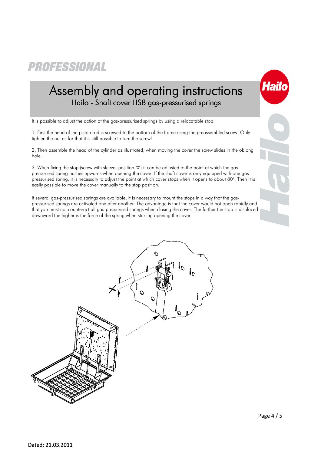PROFESSIONAL

## Assembly and operating instructions Hailo - Shaft cover HS8 gas-pressurised springs

It is possible to adjust the action of the gas-pressurised springs by using a relocatable stop.

1. First the head of the piston rod is screwed to the bottom of the frame using the preassembled screw. Only tighten the nut as far that it is still possible to turn the screw!

2. Then assemble the head of the cylinder as illustrated; when moving the cover the screw slides in the oblong hole.

3. When fixing the stop (screw with sleeve, position "X") it can be adjusted to the point at which the gaspressurised spring pushes upwards when opening the cover. If the shaft cover is only equipped with one gaspressurised spring, it is necessary to adjust the point at which cover stops when it opens to about 80°. Then it is easily possible to move the cover manually to the stop position.

If several gas-pressurised springs are available, it is necessary to mount the stops in a way that the gaspressurised springs are activated one after another. The advantage is that the cover would not open rapidly and that you must not counteract all gas-pressurised springs when closing the cover. The further the stop is displaced downward the higher is the force of the spring when starting opening the cover.